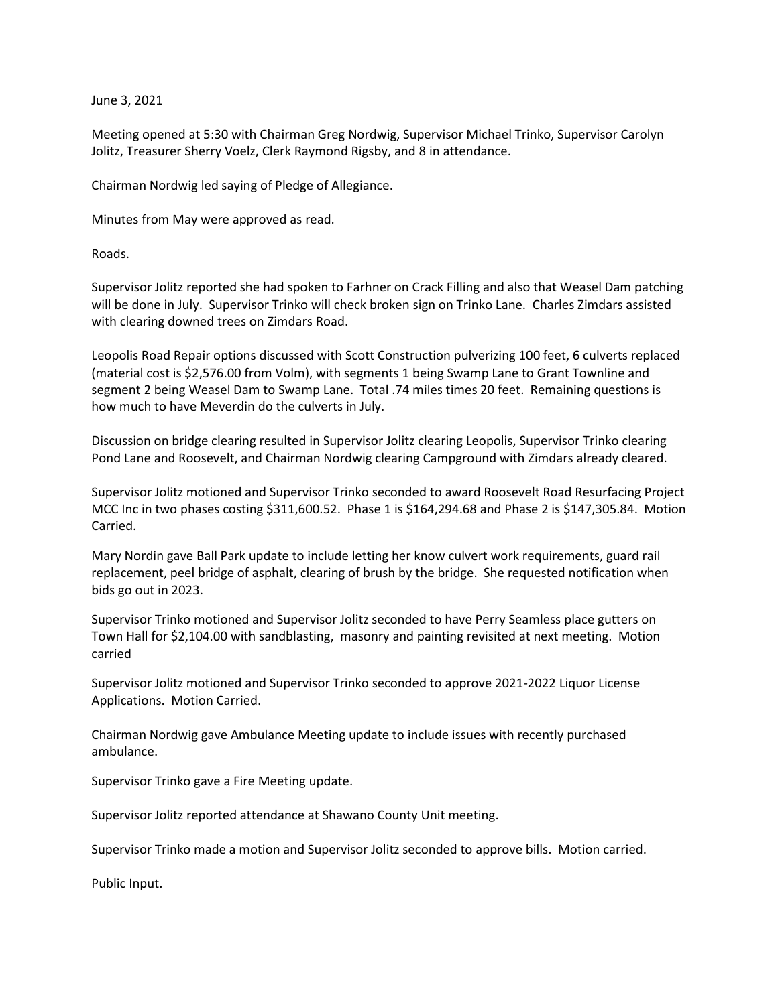## June 3, 2021

Meeting opened at 5:30 with Chairman Greg Nordwig, Supervisor Michael Trinko, Supervisor Carolyn Jolitz, Treasurer Sherry Voelz, Clerk Raymond Rigsby, and 8 in attendance.

Chairman Nordwig led saying of Pledge of Allegiance.

Minutes from May were approved as read.

Roads.

Supervisor Jolitz reported she had spoken to Farhner on Crack Filling and also that Weasel Dam patching will be done in July. Supervisor Trinko will check broken sign on Trinko Lane. Charles Zimdars assisted with clearing downed trees on Zimdars Road.

Leopolis Road Repair options discussed with Scott Construction pulverizing 100 feet, 6 culverts replaced (material cost is \$2,576.00 from Volm), with segments 1 being Swamp Lane to Grant Townline and segment 2 being Weasel Dam to Swamp Lane. Total .74 miles times 20 feet. Remaining questions is how much to have Meverdin do the culverts in July.

Discussion on bridge clearing resulted in Supervisor Jolitz clearing Leopolis, Supervisor Trinko clearing Pond Lane and Roosevelt, and Chairman Nordwig clearing Campground with Zimdars already cleared.

Supervisor Jolitz motioned and Supervisor Trinko seconded to award Roosevelt Road Resurfacing Project MCC Inc in two phases costing \$311,600.52. Phase 1 is \$164,294.68 and Phase 2 is \$147,305.84. Motion Carried.

Mary Nordin gave Ball Park update to include letting her know culvert work requirements, guard rail replacement, peel bridge of asphalt, clearing of brush by the bridge. She requested notification when bids go out in 2023.

Supervisor Trinko motioned and Supervisor Jolitz seconded to have Perry Seamless place gutters on Town Hall for \$2,104.00 with sandblasting, masonry and painting revisited at next meeting. Motion carried

Supervisor Jolitz motioned and Supervisor Trinko seconded to approve 2021-2022 Liquor License Applications. Motion Carried.

Chairman Nordwig gave Ambulance Meeting update to include issues with recently purchased ambulance.

Supervisor Trinko gave a Fire Meeting update.

Supervisor Jolitz reported attendance at Shawano County Unit meeting.

Supervisor Trinko made a motion and Supervisor Jolitz seconded to approve bills. Motion carried.

Public Input.